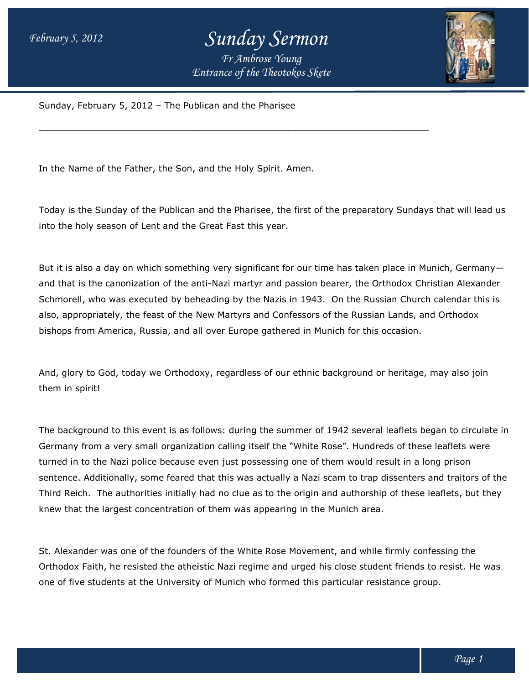# *Sunday Sermon Fr Ambrose Young*

*Entrance of the Theotokos Skete*

 $\_$  , and the set of the set of the set of the set of the set of the set of the set of the set of the set of the set of the set of the set of the set of the set of the set of the set of the set of the set of the set of th

Sunday, February 5, 2012 – The Publican and the Pharisee

In the Name of the Father, the Son, and the Holy Spirit. Amen.

Today is the Sunday of the Publican and the Pharisee, the first of the preparatory into the holy season of Lent and the Great Fast this year. Name of the Father, the Son, and the Holy Spirit. Amen.<br>is the Sunday of the Publican and the Pharisee, the first of the preparatory<br>e holy season of Lent and the Great Fast this year. Sundays that will lead us

But it is also a day on which something very significant for our time has taken place in Munich, Germany— But it is also a day on which something very significant for our time has taken place in Munich, Germany—<br>and that is the canonization of the anti-Nazi martyr and passion bearer, the Orthodox Christian Alexander Schmorell, who was executed by beheading by the Nazis in 1943. 1943. On the Russian Church calendar this is also, appropriately, the feast of the New Martyrs and Confessors of the Russian Lands, and Orthodox bishops from America, Russia, and all over Europe gathered in Munich for this occasion. on bearer, the Orthodox Christian Alexander<br>943. On the Russian Church calendar this is<br>ors of the Russian Lands, and Orthodox<br>n Munich for this occasion.

And, glory to God, today we Orthodoxy, regardless of our ethnic background or heritage, may also join them in spirit! ropriately, the feast of the New Martyrs and Confessors of the Russian Lands, and Orthodox<br>rom America, Russia, and all over Europe gathered in Munich for this occasion.<br>y to God, today we Orthodoxy, regardless of our ethn

The background to this event is as follows: during the summer of 1942 several leaflets began to circulate in Germany from a very small organization calling itself the "White Rose". Hundreds of these leaflets were turned in to the Nazi police because even just possessing one of them would result in a long prison sentence. Additionally, some feared that this was actually a Nazi scam to trap dissenters and traitors of the Third Reich. The authorities initially had no clue as to the origin and authorship of these leaflets, but they knew that the largest concentration of them was appearing in the Munich area. iy from a very small organization calling itself the "White Rose". Hundreds of these leaflets we<br>in to the Nazi police because even just possessing one of them would result in a long prison<br>re. Additionally, some feared th e summer of 1942 several leaflets began to cird<br>The "White Rose". Hundreds of these leaflets w<br>ssing one of them would result in a long prison

St. Alexander was one of the founders of the White Rose Movement, and while firmly confessing the Orthodox Faith, he resisted the atheistic Nazi regime and urged his close student friends to resist. He was one of five students at the University of Munich who formed this particular resistance group.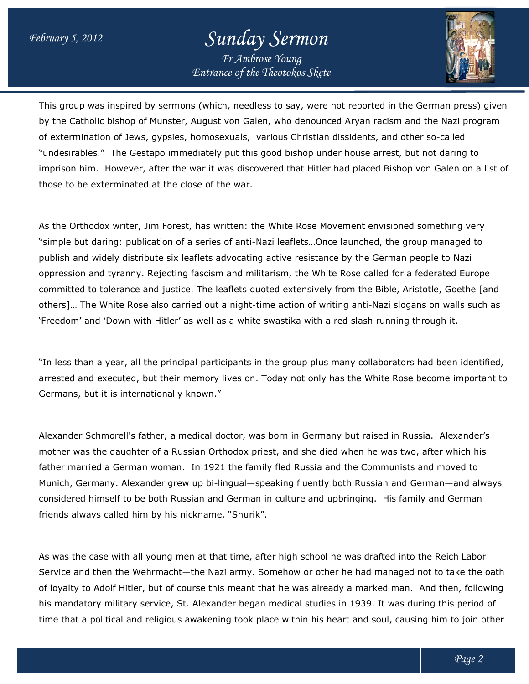

This group was inspired by sermons (which, needless to say, were not reported in the German press) given This group was inspired by sermons (which, needless to say, were not reported in the German press) give<br>by the Catholic bishop of Munster, August von Galen, who denounced Aryan racism and the Nazi program by the Catholic bishop of Munster, August von Galen, who denounced Aryan racism and the Nazi p<br>of extermination of Jews, gypsies, homosexuals, various Christian dissidents, and other so-called "undesirables." The Gestapo immediately put this good bishop under house arrest, but not daring to imprison him. However, after the war it was discovered that Hitler had placed Bishop von Galen on a list of those to be exterminated at the close of the war. desirables." The Gestapo immediately put this good bishop under house arrest, but not daring to<br>prison him. However, after the war it was discovered that Hitler had placed Bishop von Galen on a l<br>se to be exterminated at t

As the Orthodox writer, Jim Forest, has written: the White Rose Movement envisioned something very "simple but daring: publication of a series of anti publish and widely distribute six leaflets advocating active resistance by the German people to Nazi publish and widely distribute six leaflets advocating active resistance by the German people to Nazi<br>oppression and tyranny. Rejecting fascism and militarism, the White Rose called for a federated Europe "simple but daring: publication of a series of anti-Nazi leaflets...Once launched, the group managed to<br>publish and widely distribute six leaflets advocating active resistance by the German people to Nazi<br>oppression and ty others]... The White Rose also carried out a night-time action of writing anti-Nazi slogans on walls such as 'Freedom' and 'Down with Hitler' as well as a white swastika with a red slash running through it.

"In less than a year, all the principal participants in the group plus many collaborators had been identified, `Freedom' and `Down with Hitler' as well as a white swastika with a red slash running through it.<br>``In less than a year, all the principal participants in the group plus many collaborators had been identified,<br>arrested and Germans, but it is internationally known." arrested and executed, but their memory lives on. Today not only has the White Rose become important to<br>Germans, but it is internationally known."<br>Alexander Schmorell's father, a medical doctor, was born in Germany but rai

Germans, but it is internationally known."<br>Alexander Schmorell's father, a medical doctor, was born in Germany but raised in Russia. Alexander's<br>mother was the daughter of a Russian Orthodox priest, and she died when he w father married a German woman. In 1921 the family fled Russia and the Communists and moved to mother was the daughter of a Russian Orthodox priest, and she died when he was two, after which his<br>father married a German woman. In 1921 the family fled Russia and the Communists and moved to<br>Munich, Germany. Alexander considered himself to be both Russian and German in culture and upbringing. His family and German friends always called him by his nickname, "Shurik".

As was the case with all young men at that time, after high school he was drafted into the Reich Labor Service and then the Wehrmacht—the Nazi army. Somehow or other he had managed not to take the oath of loyalty to Adolf Hitler, but of course this meant that he was already a marked man. his mandatory military service, St. Alexander began medic al time that a political and religious awakening took place within his heart and soul, causing him to join other was the case with all young men at that time, after high school he was drafted into the Reich Labor<br>vice and then the Wehrmacht—the Nazi army. Somehow or other he had managed not to take the oat<br>oyalty to Adolf Hitler, but And then, following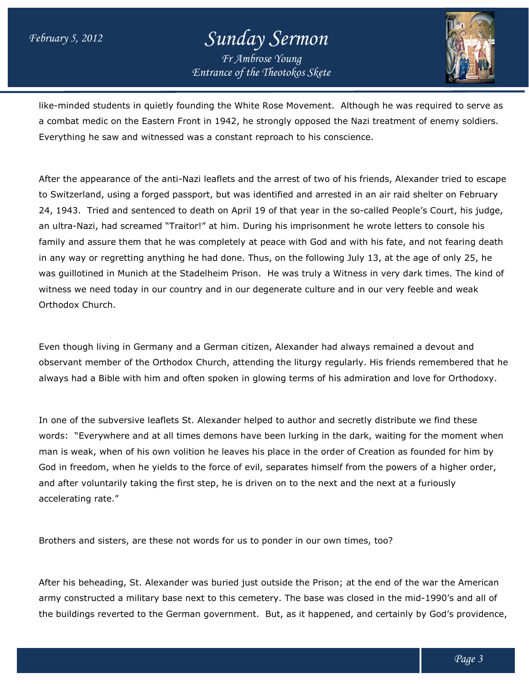

like-minded students in quietly founding the White Rose Movement. Although he was required to serve as a combat medic on the Eastern Front in 1942, he strongly opposed the Nazi treatment of enemy soldiers. Everything he saw and witnessed was a constant reproach to his conscience. a combat medic on the Eastern Front in 1942, he strongly opposed the Nazi treatment of enemy soldiers.<br>Everything he saw and witnessed was a constant reproach to his conscience.<br>After the appearance of the anti-Nazi leafle

to Switzerland, using a forged passport, but was identified and arrested in an air raid shelter on February to Switzerland, using a forged passport, but was identified and arrested in an air raid shelter on February<br>24, 1943. Tried and sentenced to death on April 19 of that year in the so-called People's Court, his judge, an ultra-Nazi, had screamed "Traitor!" at him. During his imprisonment he wrote letters to console his family and assure them that he was completely at peace with God and with his fate, and not fearing death in any way or regretting anything he had done. Thus, on the following July 13, at the age of only 25, he was guillotined in Munich at the Stadelheim Prison. He was truly a Witness in very dark times. The kind of in any way or regretting anything he had done. Thus, on the following July 13, at the age of only 25, he<br>was guillotined in Munich at the Stadelheim Prison. He was truly a Witness in very dark times. The kind<br>witness we n Orthodox Church. ultra-Nazi, had screamed "Traitor!" at him. During his imprisonment he wrote letters to console his<br>nily and assure them that he was completely at peace with God and with his fate, and not fearing dea<br>any way or regretting

Even though living in Germany and a German citizen, Alexander had always remained a devout and observant member of the Orthodox Church, attending the liturgy regularly. His friends remembered that he always had a Bible with him and often spoken in glowing terms of his admiration and love for Orthodoxy. witness we need today in our country and in our degenerate culture and in our very feeble and weak<br>Orthodox Church.<br>Even though living in Germany and a German citizen, Alexander had always remained a devout and<br>observant m

In one of the subversive leaflets St. Alexander helped to author and secretly distribute we find these words: "Everywhere and at all times demons have been lurking in the dark, waiting for the moment when man is weak, when of his own volition he leaves his place in the order of Creation as founded for him by God in freedom, when he yields to the force of evil, separates himself from the powers of a higher order, and after voluntarily taking the first step, he is driven on to the next and the next at a furiously accelerating rate." man is weak, when of his own volition he leaves his place in the order of Creation as founded for him by God in freedom, when he yields to the force of evil, separates himself from the powers of a higher order, and after v lurking in the dark, waiting for the moment whei<br>in the order of Creation as founded for him by<br>ates himself from the powers of a higher order,

Brothers and sisters, are these not words for us to ponder in our own times, too?

After his beheading, St. Alexander was buried just outside the Prison; at the end of the war the American After his beheading, St. Alexander was buried just outside the Prison; at the end of the war the American<br>army constructed a military base next to this cemetery. The base was closed in the mid-1990's and all of army constructed a military base next to this cemetery. The base was closed in the mid-1990's and all of<br>the buildings reverted to the German government. But, as it happened, and certainly by God's providence,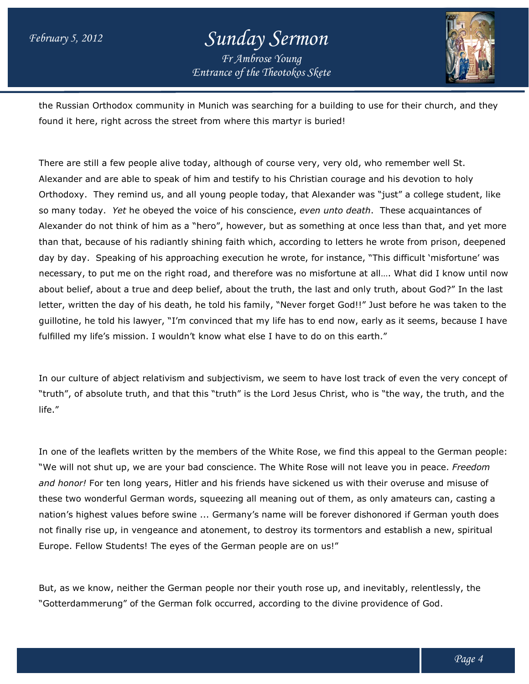

the Russian Orthodox community in Munich was searching for a building to use for their church, and they<br>found it here, right across the street from where this martyr is buried! found it here, right across the street from where this martyr is buried!

There are still a few people alive today, although of course very, very old, who remember well St. Alexander and are able to speak of him and testify to his Christian courage and his devotion to holy Orthodoxy. They remind us, and all young people today, that Alexander was "just" a college student, like Orthodoxy. They remind us, and all young people today, that Alexander was "just" a college student,<br>so many today. *Yet* he obeyed the voice of his conscience, *even unto death*. These acquaintances of Alexander do not think of him as a "hero", however, but as something at once less than that, and yet more than that, because of his radiantly shining faith which, according to letters he wrote from prison, deepened day by day. Speaking of his approaching execution he wrote, for instance, "This difficult 'misfortune' was necessary, to put me on the right road, and therefore was no misfortune at all.... What did I know until now about belief, about a true and deep belief, about the truth, the last and only truth, about God?" In the last about belief, about a true and deep belief, about the truth, the last and only truth, about God?" In the last<br>letter, written the day of his death, he told his family, "Never forget God!!" Just before he was taken to the guillotine, he told his lawyer, "I'm convinced that my life has to end now, early as it seems, because I have guillotine, he told his lawyer, "I'm convinced that my life has to end now, early a<br>fulfilled my life's mission. I wouldn't know what else I have to do on this earth." I "hero", however, but as something at once less than that, and yet more<br>shining faith which, according to letters he wrote from prison, deepened<br>paching execution he wrote, for instance, "This difficult 'misfortune' was<br>r therefore was no misfortune at all.... What did I know unt<br>bout the truth, the last and only truth, about God?" In the<br>is family, "Never forget God!!" Just before he was taken<br>that my life has to end now, early as it seems

In our culture of abject relativism and subjectivism, we seem to have lost track of even the very concept of "truth", of absolute truth, and that this "truth" is the Lord Jesus Christ, who is "the way, the truth, and the life." ct relativism and subjectivism, we seem to have lost track of even the very concept of<br>uth, and that this "truth" is the Lord Jesus Christ, who is "the way, the truth, and the<br>written by the members of the White Rose, we f

In one of the leaflets written by the members of the White Rose, we find this appeal to the German people: "We will not shut up, we are your bad conscience. The White Rose will not leave you in peace. *Freedom and honor!* For ten long years, Hitler and his friends have sickened us with their overuse and misuse of these two wonderful German words, squeezing all meaning out of them, as only amateurs can, casting a nation's highest values before swine ... Germany's name will be forever dishonored if German youth does not finally rise up, in vengeance and atonement, to destroy its tormentors and establish a Europe. Fellow Students! The eyes of the German people are on us!" will not shut up, we are your bad conscience. The White Rose will not leave you in peace. *Freedom*<br>honor! For ten long years, Hitler and his friends have sickened us with their overuse and misuse of<br>ie two wonderful Germa

But, as we know, neither the German people nor their youth rose up, and inevitably, relentlessly, the "Gotterdammerung" of the German folk occurred, according to the divine providence of God. eyes of the German people are on us!"<br>German people nor their youth rose up, and<br>rman folk occurred, according to the divine